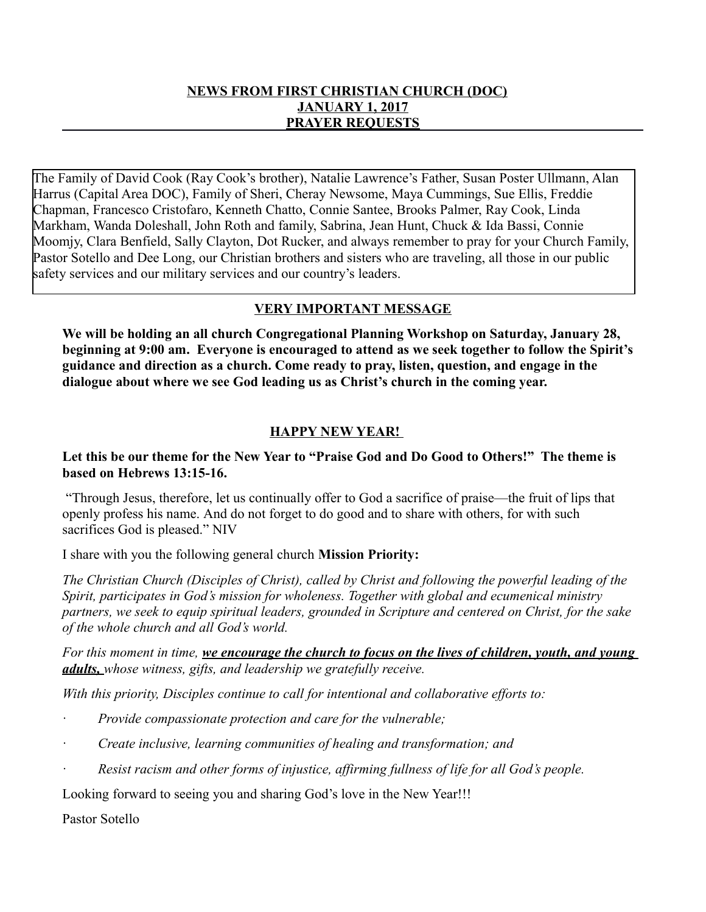### **NEWS FROM FIRST CHRISTIAN CHURCH (DOC) JANUARY 1, 2017 PRAYER REQUESTS**

The Family of David Cook (Ray Cook's brother), Natalie Lawrence's Father, Susan Poster Ullmann, Alan Harrus (Capital Area DOC), Family of Sheri, Cheray Newsome, Maya Cummings, Sue Ellis, Freddie Chapman, Francesco Cristofaro, Kenneth Chatto, Connie Santee, Brooks Palmer, Ray Cook, Linda Markham, Wanda Doleshall, John Roth and family, Sabrina, Jean Hunt, Chuck & Ida Bassi, Connie Moomjy, Clara Benfield, Sally Clayton, Dot Rucker, and always remember to pray for your Church Family, Pastor Sotello and Dee Long, our Christian brothers and sisters who are traveling, all those in our public safety services and our military services and our country's leaders.

# **VERY IMPORTANT MESSAGE**

**We will be holding an all church Congregational Planning Workshop on Saturday, January 28, beginning at 9:00 am. Everyone is encouraged to attend as we seek together to follow the Spirit's guidance and direction as a church. Come ready to pray, listen, question, and engage in the dialogue about where we see God leading us as Christ's church in the coming year.** 

## **HAPPY NEW YEAR!**

## **Let this be our theme for the New Year to "Praise God and Do Good to Others!" The theme is based on Hebrews 13:15-16.**

 "Through Jesus, therefore, let us continually offer to God a sacrifice of praise—the fruit of lips that openly profess his name. And do not forget to do good and to share with others, for with such sacrifices God is pleased." NIV

I share with you the following general church **Mission Priority:**

*The Christian Church (Disciples of Christ), called by Christ and following the powerful leading of the Spirit, participates in God's mission for wholeness. Together with global and ecumenical ministry partners, we seek to equip spiritual leaders, grounded in Scripture and centered on Christ, for the sake of the whole church and all God's world.*

*For this moment in time, we encourage the church to focus on the lives of children, youth, and young adults, whose witness, gifts, and leadership we gratefully receive.* 

*With this priority, Disciples continue to call for intentional and collaborative efforts to:*

- · *Provide compassionate protection and care for the vulnerable;*
- · *Create inclusive, learning communities of healing and transformation; and*
- · *Resist racism and other forms of injustice, affirming fullness of life for all God's people.*

Looking forward to seeing you and sharing God's love in the New Year!!!

Pastor Sotello